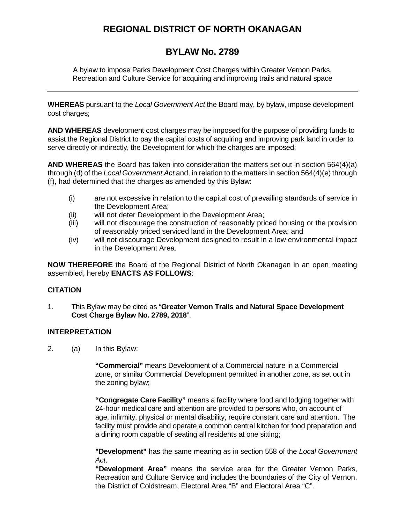# **REGIONAL DISTRICT OF NORTH OKANAGAN**

# **BYLAW No. 2789**

A bylaw to impose Parks Development Cost Charges within Greater Vernon Parks, Recreation and Culture Service for acquiring and improving trails and natural space

**WHEREAS** pursuant to the *Local Government Act* the Board may, by bylaw, impose development cost charges;

**AND WHEREAS** development cost charges may be imposed for the purpose of providing funds to assist the Regional District to pay the capital costs of acquiring and improving park land in order to serve directly or indirectly, the Development for which the charges are imposed;

**AND WHEREAS** the Board has taken into consideration the matters set out in section 564(4)(a) through (d) of the *Local Government Act* and, in relation to the matters in section 564(4)(e) through (f), had determined that the charges as amended by this Bylaw:

- (i) are not excessive in relation to the capital cost of prevailing standards of service in the Development Area;
- (ii) will not deter Development in the Development Area;
- (iii) will not discourage the construction of reasonably priced housing or the provision of reasonably priced serviced land in the Development Area; and
- (iv) will not discourage Development designed to result in a low environmental impact in the Development Area.

**NOW THEREFORE** the Board of the Regional District of North Okanagan in an open meeting assembled, hereby **ENACTS AS FOLLOWS**:

## **CITATION**

1. This Bylaw may be cited as "**Greater Vernon Trails and Natural Space Development Cost Charge Bylaw No. 2789, 2018**".

## **INTERPRETATION**

2. (a) In this Bylaw:

**"Commercial"** means Development of a Commercial nature in a Commercial zone, or similar Commercial Development permitted in another zone, as set out in the zoning bylaw;

**"Congregate Care Facility"** means a facility where food and lodging together with 24-hour medical care and attention are provided to persons who, on account of age, infirmity, physical or mental disability, require constant care and attention. The facility must provide and operate a common central kitchen for food preparation and a dining room capable of seating all residents at one sitting;

**"Development"** has the same meaning as in section 558 of the *Local Government Act*.

**"Development Area"** means the service area for the Greater Vernon Parks, Recreation and Culture Service and includes the boundaries of the City of Vernon, the District of Coldstream, Electoral Area "B" and Electoral Area "C".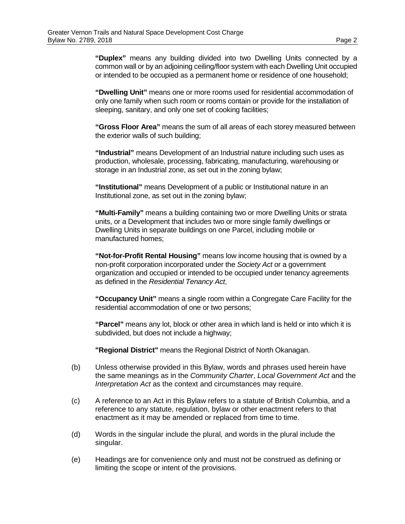**"Duplex"** means any building divided into two Dwelling Units connected by a common wall or by an adjoining ceiling/floor system with each Dwelling Unit occupied or intended to be occupied as a permanent home or residence of one household;

**"Dwelling Unit"** means one or more rooms used for residential accommodation of only one family when such room or rooms contain or provide for the installation of sleeping, sanitary, and only one set of cooking facilities;

**"Gross Floor Area"** means the sum of all areas of each storey measured between the exterior walls of such building;

**"Industrial"** means Development of an Industrial nature including such uses as production, wholesale, processing, fabricating, manufacturing, warehousing or storage in an Industrial zone, as set out in the zoning bylaw;

**"Institutional"** means Development of a public or Institutional nature in an Institutional zone, as set out in the zoning bylaw;

**"Multi-Family"** means a building containing two or more Dwelling Units or strata units, or a Development that includes two or more single family dwellings or Dwelling Units in separate buildings on one Parcel, including mobile or manufactured homes;

**"Not-for-Profit Rental Housing"** means low income housing that is owned by a non-profit corporation incorporated under the *Society Act* or a government organization and occupied or intended to be occupied under tenancy agreements as defined in the *Residential Tenancy Act*,

**"Occupancy Unit"** means a single room within a Congregate Care Facility for the residential accommodation of one or two persons;

**"Parcel"** means any lot, block or other area in which land is held or into which it is subdivided, but does not include a highway;

**"Regional District"** means the Regional District of North Okanagan.

- (b) Unless otherwise provided in this Bylaw, words and phrases used herein have the same meanings as in the *Community Charter*, *Local Government Act* and the *Interpretation Act* as the context and circumstances may require.
- (c) A reference to an Act in this Bylaw refers to a statute of British Columbia, and a reference to any statute, regulation, bylaw or other enactment refers to that enactment as it may be amended or replaced from time to time.
- (d) Words in the singular include the plural, and words in the plural include the singular.
- (e) Headings are for convenience only and must not be construed as defining or limiting the scope or intent of the provisions.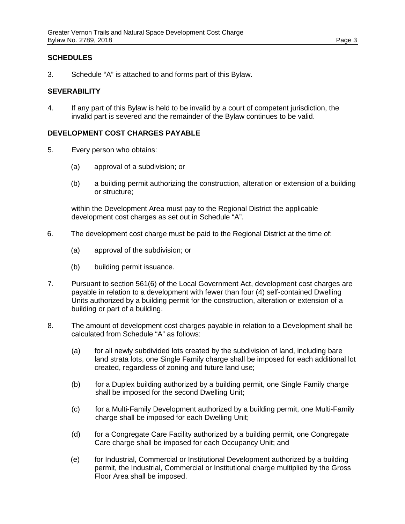## **SCHEDULES**

3. Schedule "A" is attached to and forms part of this Bylaw.

#### **SEVERABILITY**

4. If any part of this Bylaw is held to be invalid by a court of competent jurisdiction, the invalid part is severed and the remainder of the Bylaw continues to be valid.

#### **DEVELOPMENT COST CHARGES PAYABLE**

- 5. Every person who obtains:
	- (a) approval of a subdivision; or
	- (b) a building permit authorizing the construction, alteration or extension of a building or structure;

within the Development Area must pay to the Regional District the applicable development cost charges as set out in Schedule "A".

- 6. The development cost charge must be paid to the Regional District at the time of:
	- (a) approval of the subdivision; or
	- (b) building permit issuance.
- 7. Pursuant to section 561(6) of the Local Government Act, development cost charges are payable in relation to a development with fewer than four (4) self-contained Dwelling Units authorized by a building permit for the construction, alteration or extension of a building or part of a building.
- 8. The amount of development cost charges payable in relation to a Development shall be calculated from Schedule "A" as follows:
	- (a) for all newly subdivided lots created by the subdivision of land, including bare land strata lots, one Single Family charge shall be imposed for each additional lot created, regardless of zoning and future land use;
	- (b) for a Duplex building authorized by a building permit, one Single Family charge shall be imposed for the second Dwelling Unit;
	- (c) for a Multi-Family Development authorized by a building permit, one Multi-Family charge shall be imposed for each Dwelling Unit;
	- (d) for a Congregate Care Facility authorized by a building permit, one Congregate Care charge shall be imposed for each Occupancy Unit; and
	- (e) for Industrial, Commercial or Institutional Development authorized by a building permit, the Industrial, Commercial or Institutional charge multiplied by the Gross Floor Area shall be imposed.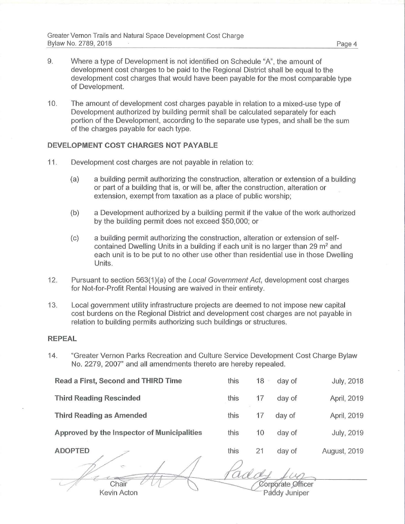- 9. Where a type of Development is not identified on Schedule "A", the amount of development cost charges to be paid to the Regional District shall be equal to the development cost charges that would have been payable for the most comparable type of Development.
- 10. The amount of development cost charges payable in relation to a mixed-use type of Development authorized by building permit shall be calculated separately for each portion of the Development, according to the separate use types, and shall be the sum of the charges payable for each type.

#### **DEVELOPMENT COST CHARGES NOT PAYABLE**

- 11. Development cost charges are not payable in relation to:
	- (a) a building permit authorizing the construction, alteration or extension of a building or part of a building that is, or will be, after the construction, alteration or extension, exempt from taxation as a place of public worship;
	- (b) a Development authorized by a building permit if the value of the work authorized by the building permit does not exceed \$50,000; or
	- (c) a building permit authorizing the construction, alteration or extension of selfcontained Dwelling Units in a building if each unit is no larger than 29  $m<sup>2</sup>$  and each unit is to be put to no other use other than residential use in those Dwelling Units.
- 12. Pursuant to section 563(1)(a) of the Local Government Act, development cost charges for Not-for-Profit Rental Housing are waived in their entirety.
- 13. Local government utility infrastructure projects are deemed to not impose new capital cost burdens on the Regional District and development cost charges are not payable in relation to building permits authorizing such buildings or structures.

#### **REPEAL**

14. "Greater Vernon Parks Recreation and Culture Service Development Cost Charge Bylaw No. 2279, 2007" and all amendments thereto are hereby repealed.

| Read a First, Second and THIRD Time         | this | 18 | day of | <b>July, 2018</b> |
|---------------------------------------------|------|----|--------|-------------------|
| <b>Third Reading Rescinded</b>              | this | 17 | day of | April, 2019       |
| <b>Third Reading as Amended</b>             | this |    | day of | April, 2019       |
| Approved by the Inspector of Municipalities | this | 10 | day of | <b>July, 2019</b> |
| <b>ADOPTED</b>                              | this | 21 | day of | August, 2019      |

Chair Kevin Acton

Corporate Officer

Paddy Juniper